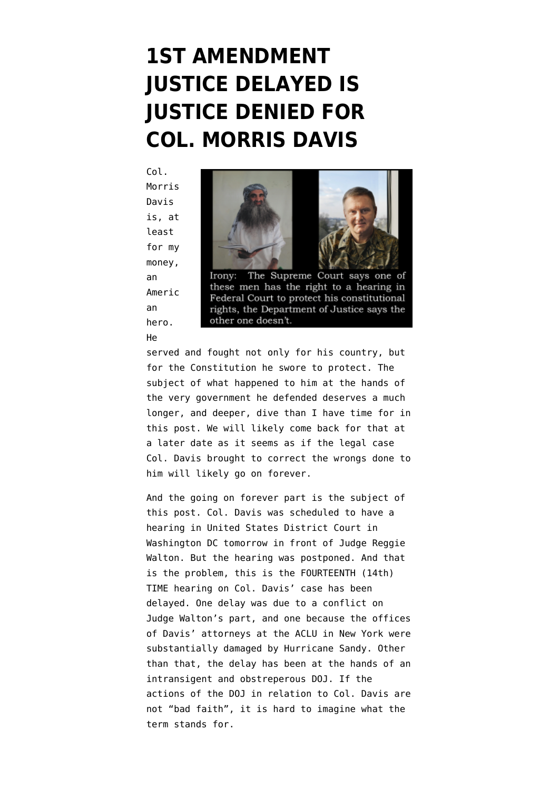## **[1ST AMENDMENT](https://www.emptywheel.net/2014/02/20/1st-amendment-justice-delayed-is-justice-denied-for-col-morris-davis/) [JUSTICE DELAYED IS](https://www.emptywheel.net/2014/02/20/1st-amendment-justice-delayed-is-justice-denied-for-col-morris-davis/) [JUSTICE DENIED FOR](https://www.emptywheel.net/2014/02/20/1st-amendment-justice-delayed-is-justice-denied-for-col-morris-davis/) [COL. MORRIS DAVIS](https://www.emptywheel.net/2014/02/20/1st-amendment-justice-delayed-is-justice-denied-for-col-morris-davis/)**

Col. Morris Davis is, at least for my money, an Americ an hero. He



Irony: The Supreme Court says one of these men has the right to a hearing in Federal Court to protect his constitutional rights, the Department of Justice says the other one doesn't.

served and fought not only for his country, but for the Constitution he swore to protect. The subject of what happened to him at the hands of the very government he defended deserves a much longer, and deeper, dive than I have time for in this post. We will likely come back for that at a later date as it seems as if the legal case Col. Davis brought to correct the wrongs done to him will likely go on forever.

And the going on forever part is the subject of this post. Col. Davis was scheduled to have a hearing in United States District Court in Washington DC tomorrow in front of Judge Reggie Walton. But the hearing was postponed. And that is the problem, this is the FOURTEENTH (14th) TIME hearing on Col. Davis' case has been delayed. One delay was due to a conflict on Judge Walton's part, and one because the offices of Davis' attorneys at the ACLU in New York were substantially damaged by Hurricane Sandy. Other than that, the delay has been at the hands of an intransigent and obstreperous DOJ. If the actions of the DOJ in relation to Col. Davis are not "bad faith", it is hard to imagine what the term stands for.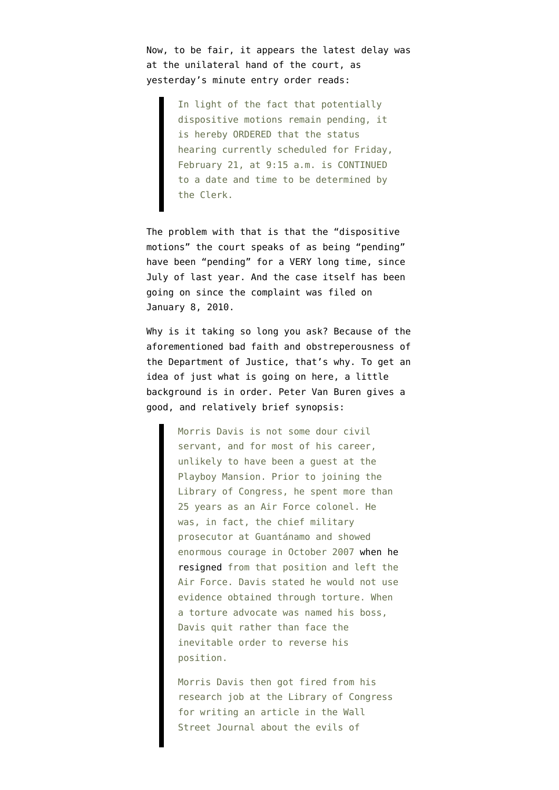Now, to be fair, it appears the latest delay was at the unilateral hand of the court, as yesterday's minute entry order reads:

> In light of the fact that potentially dispositive motions remain pending, it is hereby ORDERED that the status hearing currently scheduled for Friday, February 21, at 9:15 a.m. is CONTINUED to a date and time to be determined by the Clerk.

The problem with that is that the "dispositive motions" the court speaks of as being "pending" have been "pending" for a VERY long time, since July of last year. And the case itself has been going on since the [complaint was filed on](http://www.emptywheel.net/wp-content/uploads/2014/02/Davis-Complaint-182010.pdf) [January 8, 2010.](http://www.emptywheel.net/wp-content/uploads/2014/02/Davis-Complaint-182010.pdf)

Why is it taking so long you ask? Because of the aforementioned bad faith and obstreperousness of the Department of Justice, that's why. To get an idea of just what is going on here, a little background is in order. Peter Van Buren gives a [good, and relatively brief synopsis](http://wemeantwell.com/blog/2013/05/20/hanging-out-at-the-playboy-mansion-while-colonel-davis-waits-for-justice/):

> Morris Davis is not some dour civil servant, and for most of his career, unlikely to have been a guest at the Playboy Mansion. Prior to joining the Library of Congress, he spent more than 25 years as an Air Force colonel. He was, in fact, the chief military prosecutor at Guantánamo and showed enormous courage in October 2007 [when he](http://thinkprogress.org/security/2007/12/10/18199/morris-gitmo-haynes/) [resigned](http://thinkprogress.org/security/2007/12/10/18199/morris-gitmo-haynes/) from that position and left the Air Force. Davis stated he would not use evidence obtained through torture. When a torture advocate was named his boss, Davis quit rather than face the inevitable order to reverse his position.

Morris Davis then got fired from his research job at the Library of Congress for writing an article in the Wall Street Journal about the evils of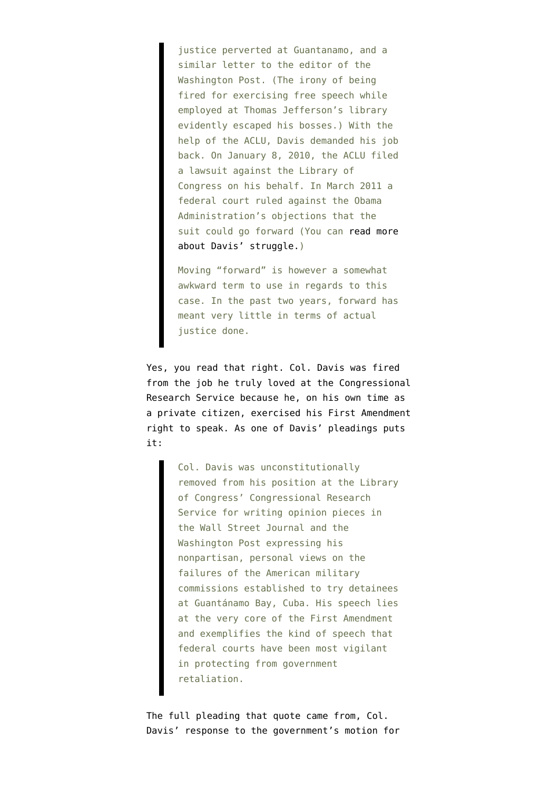justice perverted at Guantanamo, and a similar letter to the editor of the Washington Post. (The irony of being fired for exercising free speech while employed at Thomas Jefferson's library evidently escaped his bosses.) With the help of the ACLU, Davis demanded his job back. On January 8, 2010, the ACLU filed a lawsuit against the Library of Congress on his behalf. In March 2011 a federal court ruled against the Obama Administration's objections that the suit could go forward (You can [read more](http://wemeantwell.com/blog/2011/12/03/no-free-speech-at-mr-jefferson’s-library/) [about Davis' struggle.\)](http://wemeantwell.com/blog/2011/12/03/no-free-speech-at-mr-jefferson’s-library/)

Moving "forward" is however a somewhat awkward term to use in regards to this case. In the past two years, forward has meant very little in terms of actual justice done.

Yes, you read that right. Col. Davis was fired from the job he truly loved at the Congressional Research Service because he, on his own time as a private citizen, exercised his First Amendment right to speak. As one of [Davis' pleadings](http://www.emptywheel.net/wp-content/uploads/2014/02/Davis-SJ-Response.pdf) puts it:

> Col. Davis was unconstitutionally removed from his position at the Library of Congress' Congressional Research Service for writing opinion pieces in the Wall Street Journal and the Washington Post expressing his nonpartisan, personal views on the failures of the American military commissions established to try detainees at Guantánamo Bay, Cuba. His speech lies at the very core of the First Amendment and exemplifies the kind of speech that federal courts have been most vigilant in protecting from government retaliation.

The full pleading that quote came from, Col. Davis' response to the government's motion for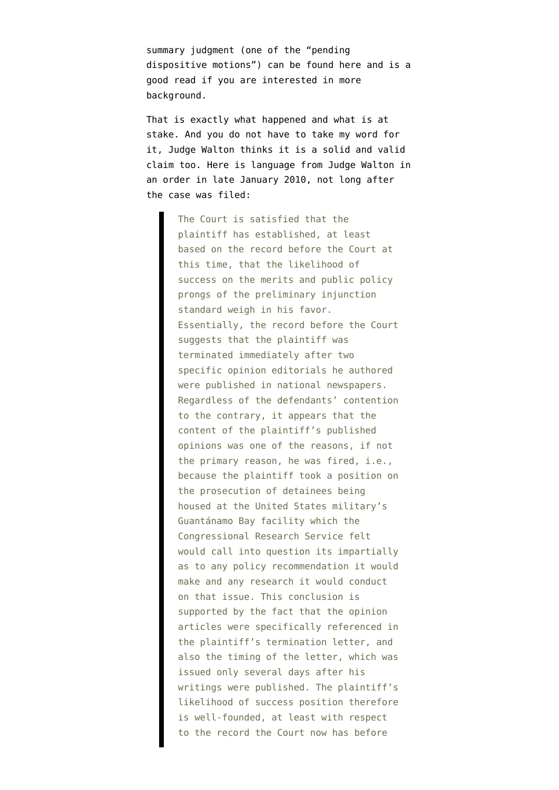summary judgment (one of the "pending dispositive motions") [can be found here](http://www.emptywheel.net/wp-content/uploads/2014/02/Davis-SJ-Response.pdf) and is a good read if you are interested in more background.

That is exactly what happened and what is at stake. And you do not have to take my word for it, Judge Walton thinks it is a solid and valid claim too. Here is language from [Judge Walton in](http://www.emptywheel.net/wp-content/uploads/2014/02/Walton-Jan-2010-Order.pdf) [an order in late January 2010](http://www.emptywheel.net/wp-content/uploads/2014/02/Walton-Jan-2010-Order.pdf), not long after the case was filed:

> The Court is satisfied that the plaintiff has established, at least based on the record before the Court at this time, that the likelihood of success on the merits and public policy prongs of the preliminary injunction standard weigh in his favor. Essentially, the record before the Court suggests that the plaintiff was terminated immediately after two specific opinion editorials he authored were published in national newspapers. Regardless of the defendants' contention to the contrary, it appears that the content of the plaintiff's published opinions was one of the reasons, if not the primary reason, he was fired, i.e., because the plaintiff took a position on the prosecution of detainees being housed at the United States military's Guantánamo Bay facility which the Congressional Research Service felt would call into question its impartially as to any policy recommendation it would make and any research it would conduct on that issue. This conclusion is supported by the fact that the opinion articles were specifically referenced in the plaintiff's termination letter, and also the timing of the letter, which was issued only several days after his writings were published. The plaintiff's likelihood of success position therefore is well-founded, at least with respect to the record the Court now has before